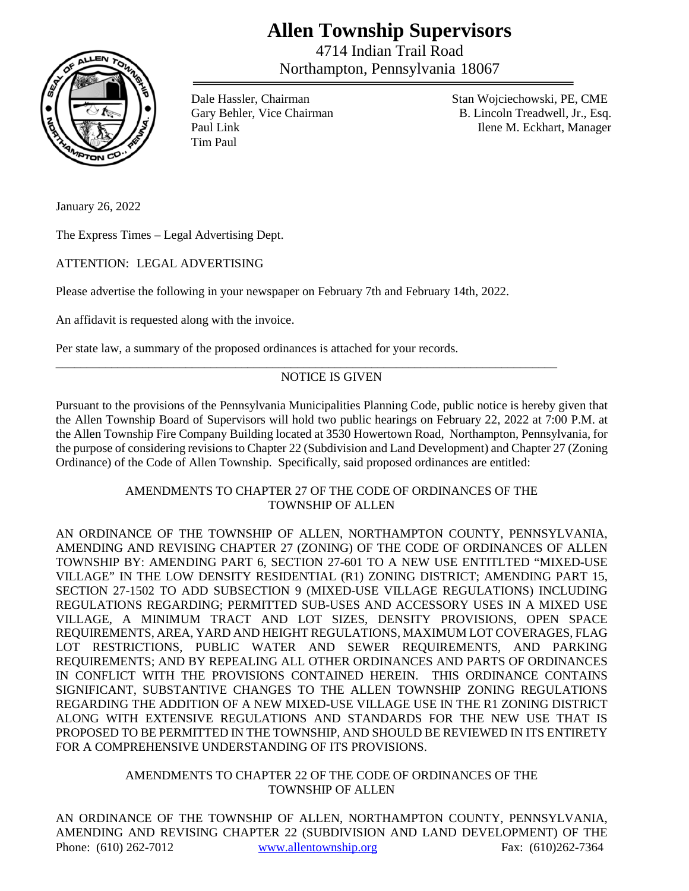## **Allen Township Supervisors**

4714 Indian Trail Road Northampton, Pennsylvania 18067



Tim Paul

Dale Hassler, Chairman Stan Wojciechowski, PE, CME Gary Behler, Vice Chairman B. Lincoln Treadwell, Jr., Esq. Paul Link Ilene M. Eckhart, Manager

January 26, 2022

The Express Times – Legal Advertising Dept.

ATTENTION: LEGAL ADVERTISING

Please advertise the following in your newspaper on February 7th and February 14th, 2022.

An affidavit is requested along with the invoice.

Per state law, a summary of the proposed ordinances is attached for your records.

## NOTICE IS GIVEN

\_\_\_\_\_\_\_\_\_\_\_\_\_\_\_\_\_\_\_\_\_\_\_\_\_\_\_\_\_\_\_\_\_\_\_\_\_\_\_\_\_\_\_\_\_\_\_\_\_\_\_\_\_\_\_\_\_\_\_\_\_\_\_\_\_\_\_\_\_\_\_\_\_\_\_\_\_\_\_\_\_

Pursuant to the provisions of the Pennsylvania Municipalities Planning Code, public notice is hereby given that the Allen Township Board of Supervisors will hold two public hearings on February 22, 2022 at 7:00 P.M. at the Allen Township Fire Company Building located at 3530 Howertown Road, Northampton, Pennsylvania, for the purpose of considering revisions to Chapter 22 (Subdivision and Land Development) and Chapter 27 (Zoning Ordinance) of the Code of Allen Township. Specifically, said proposed ordinances are entitled:

## AMENDMENTS TO CHAPTER 27 OF THE CODE OF ORDINANCES OF THE TOWNSHIP OF ALLEN

AN ORDINANCE OF THE TOWNSHIP OF ALLEN, NORTHAMPTON COUNTY, PENNSYLVANIA, AMENDING AND REVISING CHAPTER 27 (ZONING) OF THE CODE OF ORDINANCES OF ALLEN TOWNSHIP BY: AMENDING PART 6, SECTION 27-601 TO A NEW USE ENTITLTED "MIXED-USE VILLAGE" IN THE LOW DENSITY RESIDENTIAL (R1) ZONING DISTRICT; AMENDING PART 15, SECTION 27-1502 TO ADD SUBSECTION 9 (MIXED-USE VILLAGE REGULATIONS) INCLUDING REGULATIONS REGARDING; PERMITTED SUB-USES AND ACCESSORY USES IN A MIXED USE VILLAGE, A MINIMUM TRACT AND LOT SIZES, DENSITY PROVISIONS, OPEN SPACE REQUIREMENTS, AREA, YARD AND HEIGHT REGULATIONS, MAXIMUM LOT COVERAGES, FLAG LOT RESTRICTIONS, PUBLIC WATER AND SEWER REQUIREMENTS, AND PARKING REQUIREMENTS; AND BY REPEALING ALL OTHER ORDINANCES AND PARTS OF ORDINANCES IN CONFLICT WITH THE PROVISIONS CONTAINED HEREIN. THIS ORDINANCE CONTAINS SIGNIFICANT, SUBSTANTIVE CHANGES TO THE ALLEN TOWNSHIP ZONING REGULATIONS REGARDING THE ADDITION OF A NEW MIXED-USE VILLAGE USE IN THE R1 ZONING DISTRICT ALONG WITH EXTENSIVE REGULATIONS AND STANDARDS FOR THE NEW USE THAT IS PROPOSED TO BE PERMITTED IN THE TOWNSHIP, AND SHOULD BE REVIEWED IN ITS ENTIRETY FOR A COMPREHENSIVE UNDERSTANDING OF ITS PROVISIONS.

## AMENDMENTS TO CHAPTER 22 OF THE CODE OF ORDINANCES OF THE TOWNSHIP OF ALLEN

Phone: (610) 262-7012 www.allentownship.org Fax: (610) 262-7364 AN ORDINANCE OF THE TOWNSHIP OF ALLEN, NORTHAMPTON COUNTY, PENNSYLVANIA, AMENDING AND REVISING CHAPTER 22 (SUBDIVISION AND LAND DEVELOPMENT) OF THE